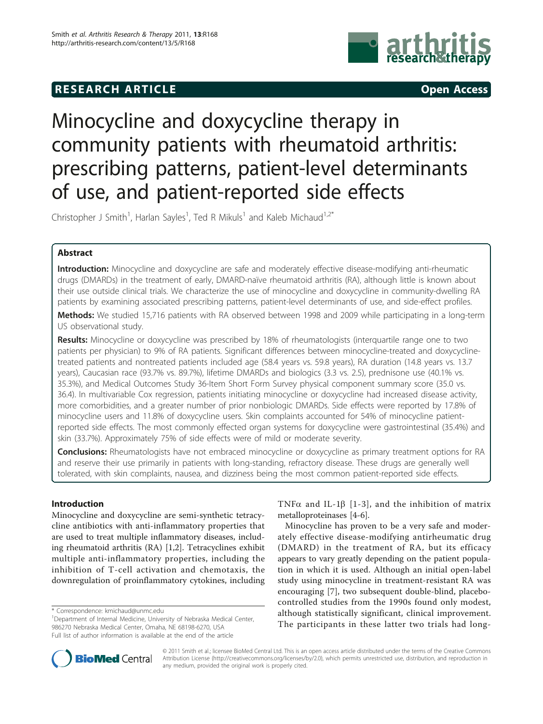## **RESEARCH ARTICLE Example 2014 CONSUMING ACCESS**



# Minocycline and doxycycline therapy in community patients with rheumatoid arthritis: prescribing patterns, patient-level determinants of use, and patient-reported side effects

Christopher J Smith<sup>1</sup>, Harlan Sayles<sup>1</sup>, Ted R Mikuls<sup>1</sup> and Kaleb Michaud<sup>1,2\*</sup>

## Abstract

Introduction: Minocycline and doxycycline are safe and moderately effective disease-modifying anti-rheumatic drugs (DMARDs) in the treatment of early, DMARD-naïve rheumatoid arthritis (RA), although little is known about their use outside clinical trials. We characterize the use of minocycline and doxycycline in community-dwelling RA patients by examining associated prescribing patterns, patient-level determinants of use, and side-effect profiles.

Methods: We studied 15,716 patients with RA observed between 1998 and 2009 while participating in a long-term US observational study.

Results: Minocycline or doxycycline was prescribed by 18% of rheumatologists (interquartile range one to two patients per physician) to 9% of RA patients. Significant differences between minocycline-treated and doxycyclinetreated patients and nontreated patients included age (58.4 years vs. 59.8 years), RA duration (14.8 years vs. 13.7 years), Caucasian race (93.7% vs. 89.7%), lifetime DMARDs and biologics (3.3 vs. 2.5), prednisone use (40.1% vs. 35.3%), and Medical Outcomes Study 36-Item Short Form Survey physical component summary score (35.0 vs. 36.4). In multivariable Cox regression, patients initiating minocycline or doxycycline had increased disease activity, more comorbidities, and a greater number of prior nonbiologic DMARDs. Side effects were reported by 17.8% of minocycline users and 11.8% of doxycycline users. Skin complaints accounted for 54% of minocycline patientreported side effects. The most commonly effected organ systems for doxycycline were gastrointestinal (35.4%) and skin (33.7%). Approximately 75% of side effects were of mild or moderate severity.

Conclusions: Rheumatologists have not embraced minocycline or doxycycline as primary treatment options for RA and reserve their use primarily in patients with long-standing, refractory disease. These drugs are generally well tolerated, with skin complaints, nausea, and dizziness being the most common patient-reported side effects.

## Introduction

Minocycline and doxycycline are semi-synthetic tetracycline antibiotics with anti-inflammatory properties that are used to treat multiple inflammatory diseases, including rheumatoid arthritis (RA) [[1,2\]](#page-6-0). Tetracyclines exhibit multiple anti-inflammatory properties, including the inhibition of T-cell activation and chemotaxis, the downregulation of proinflammatory cytokines, including

TNF $\alpha$  and IL-1 $\beta$  [[1-3\]](#page-6-0), and the inhibition of matrix metalloproteinases [[4-6](#page-6-0)].

Minocycline has proven to be a very safe and moderately effective disease-modifying antirheumatic drug (DMARD) in the treatment of RA, but its efficacy appears to vary greatly depending on the patient population in which it is used. Although an initial open-label study using minocycline in treatment-resistant RA was encouraging [\[7](#page-6-0)], two subsequent double-blind, placebocontrolled studies from the 1990s found only modest, although statistically significant, clinical improvement. The participants in these latter two trials had long-



© 2011 Smith et al.; licensee BioMed Central Ltd. This is an open access article distributed under the terms of the Creative Commons Attribution License [\(http://creativecommons.org/licenses/by/2.0](http://creativecommons.org/licenses/by/2.0)), which permits unrestricted use, distribution, and reproduction in any medium, provided the original work is properly cited.

<sup>\*</sup> Correspondence: [kmichaud@unmc.edu](mailto:kmichaud@unmc.edu)

<sup>&</sup>lt;sup>1</sup>Department of Internal Medicine, University of Nebraska Medical Center, 986270 Nebraska Medical Center, Omaha, NE 68198-6270, USA Full list of author information is available at the end of the article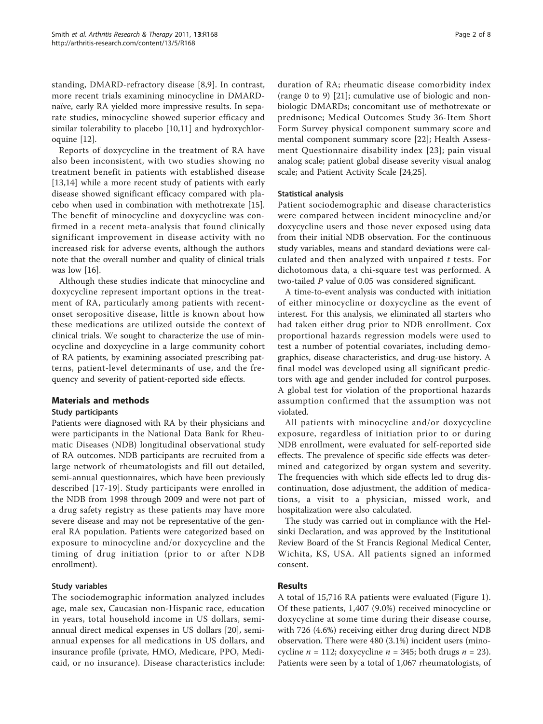standing, DMARD-refractory disease [[8](#page-6-0),[9\]](#page-6-0). In contrast, more recent trials examining minocycline in DMARDnaïve, early RA yielded more impressive results. In separate studies, minocycline showed superior efficacy and similar tolerability to placebo [\[10](#page-6-0),[11](#page-6-0)] and hydroxychloroquine [[12\]](#page-6-0).

Reports of doxycycline in the treatment of RA have also been inconsistent, with two studies showing no treatment benefit in patients with established disease [[13,14\]](#page-6-0) while a more recent study of patients with early disease showed significant efficacy compared with placebo when used in combination with methotrexate [\[15](#page-6-0)]. The benefit of minocycline and doxycycline was confirmed in a recent meta-analysis that found clinically significant improvement in disease activity with no increased risk for adverse events, although the authors note that the overall number and quality of clinical trials was low [[16\]](#page-6-0).

Although these studies indicate that minocycline and doxycycline represent important options in the treatment of RA, particularly among patients with recentonset seropositive disease, little is known about how these medications are utilized outside the context of clinical trials. We sought to characterize the use of minocycline and doxycycline in a large community cohort of RA patients, by examining associated prescribing patterns, patient-level determinants of use, and the frequency and severity of patient-reported side effects.

## Materials and methods

#### Study participants

Patients were diagnosed with RA by their physicians and were participants in the National Data Bank for Rheumatic Diseases (NDB) longitudinal observational study of RA outcomes. NDB participants are recruited from a large network of rheumatologists and fill out detailed, semi-annual questionnaires, which have been previously described [\[17-19\]](#page-6-0). Study participants were enrolled in the NDB from 1998 through 2009 and were not part of a drug safety registry as these patients may have more severe disease and may not be representative of the general RA population. Patients were categorized based on exposure to minocycline and/or doxycycline and the timing of drug initiation (prior to or after NDB enrollment).

### Study variables

The sociodemographic information analyzed includes age, male sex, Caucasian non-Hispanic race, education in years, total household income in US dollars, semiannual direct medical expenses in US dollars [[20](#page-6-0)], semiannual expenses for all medications in US dollars, and insurance profile (private, HMO, Medicare, PPO, Medicaid, or no insurance). Disease characteristics include:

duration of RA; rheumatic disease comorbidity index (range 0 to 9) [[21\]](#page-6-0); cumulative use of biologic and nonbiologic DMARDs; concomitant use of methotrexate or prednisone; Medical Outcomes Study 36-Item Short Form Survey physical component summary score and mental component summary score [[22\]](#page-6-0); Health Assessment Questionnaire disability index [[23\]](#page-7-0); pain visual analog scale; patient global disease severity visual analog scale; and Patient Activity Scale [\[24,25\]](#page-7-0).

#### Statistical analysis

Patient sociodemographic and disease characteristics were compared between incident minocycline and/or doxycycline users and those never exposed using data from their initial NDB observation. For the continuous study variables, means and standard deviations were calculated and then analyzed with unpaired  $t$  tests. For dichotomous data, a chi-square test was performed. A two-tailed P value of 0.05 was considered significant.

A time-to-event analysis was conducted with initiation of either minocycline or doxycycline as the event of interest. For this analysis, we eliminated all starters who had taken either drug prior to NDB enrollment. Cox proportional hazards regression models were used to test a number of potential covariates, including demographics, disease characteristics, and drug-use history. A final model was developed using all significant predictors with age and gender included for control purposes. A global test for violation of the proportional hazards assumption confirmed that the assumption was not violated.

All patients with minocycline and/or doxycycline exposure, regardless of initiation prior to or during NDB enrollment, were evaluated for self-reported side effects. The prevalence of specific side effects was determined and categorized by organ system and severity. The frequencies with which side effects led to drug discontinuation, dose adjustment, the addition of medications, a visit to a physician, missed work, and hospitalization were also calculated.

The study was carried out in compliance with the Helsinki Declaration, and was approved by the Institutional Review Board of the St Francis Regional Medical Center, Wichita, KS, USA. All patients signed an informed consent.

### Results

A total of 15,716 RA patients were evaluated (Figure [1](#page-2-0)). Of these patients, 1,407 (9.0%) received minocycline or doxycycline at some time during their disease course, with 726 (4.6%) receiving either drug during direct NDB observation. There were 480 (3.1%) incident users (minocycline  $n = 112$ ; doxycycline  $n = 345$ ; both drugs  $n = 23$ ). Patients were seen by a total of 1,067 rheumatologists, of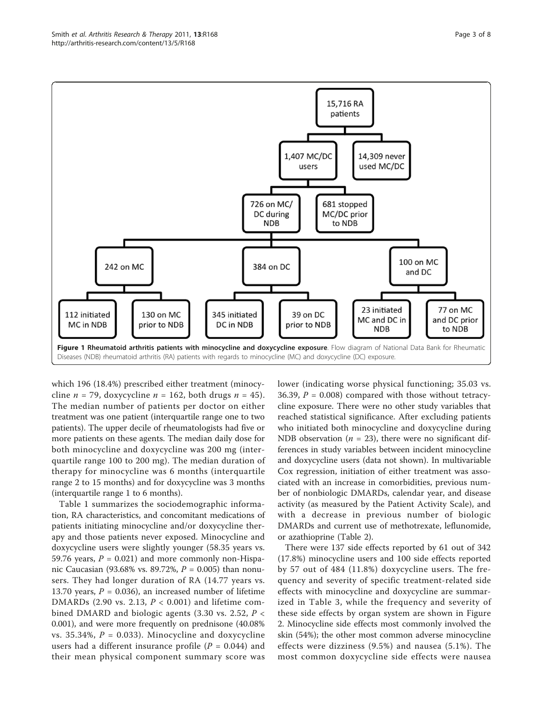Page 3 of 8

<span id="page-2-0"></span>

which 196 (18.4%) prescribed either treatment (minocycline  $n = 79$ , doxycycline  $n = 162$ , both drugs  $n = 45$ ). The median number of patients per doctor on either treatment was one patient (interquartile range one to two patients). The upper decile of rheumatologists had five or more patients on these agents. The median daily dose for both minocycline and doxycycline was 200 mg (interquartile range 100 to 200 mg). The median duration of therapy for minocycline was 6 months (interquartile range 2 to 15 months) and for doxycycline was 3 months (interquartile range 1 to 6 months).

Table [1](#page-3-0) summarizes the sociodemographic information, RA characteristics, and concomitant medications of patients initiating minocycline and/or doxycycline therapy and those patients never exposed. Minocycline and doxycycline users were slightly younger (58.35 years vs. 59.76 years,  $P = 0.021$ ) and more commonly non-Hispanic Caucasian (93.68% vs. 89.72%, P = 0.005) than nonusers. They had longer duration of RA (14.77 years vs. 13.70 years,  $P = 0.036$ , an increased number of lifetime DMARDs (2.90 vs. 2.13,  $P < 0.001$ ) and lifetime combined DMARD and biologic agents (3.30 vs. 2.52,  $P \lt \sqrt{P}$ 0.001), and were more frequently on prednisone (40.08% vs. 35.34%,  $P = 0.033$ ). Minocycline and doxycycline users had a different insurance profile ( $P = 0.044$ ) and their mean physical component summary score was lower (indicating worse physical functioning; 35.03 vs. 36.39,  $P = 0.008$ ) compared with those without tetracycline exposure. There were no other study variables that reached statistical significance. After excluding patients who initiated both minocycline and doxycycline during NDB observation ( $n = 23$ ), there were no significant differences in study variables between incident minocycline and doxycycline users (data not shown). In multivariable Cox regression, initiation of either treatment was associated with an increase in comorbidities, previous number of nonbiologic DMARDs, calendar year, and disease activity (as measured by the Patient Activity Scale), and with a decrease in previous number of biologic DMARDs and current use of methotrexate, leflunomide, or azathioprine (Table [2](#page-3-0)).

There were 137 side effects reported by 61 out of 342 (17.8%) minocycline users and 100 side effects reported by 57 out of 484 (11.8%) doxycycline users. The frequency and severity of specific treatment-related side effects with minocycline and doxycycline are summarized in Table [3](#page-4-0), while the frequency and severity of these side effects by organ system are shown in Figure [2.](#page-4-0) Minocycline side effects most commonly involved the skin (54%); the other most common adverse minocycline effects were dizziness (9.5%) and nausea (5.1%). The most common doxycycline side effects were nausea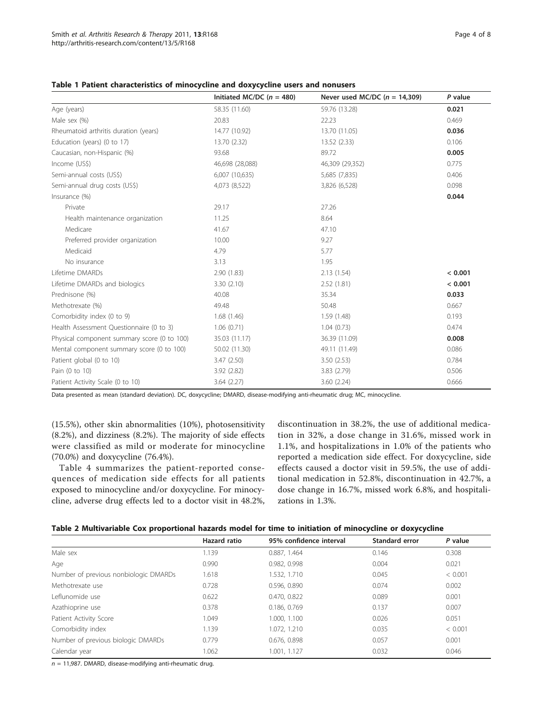|                                             | Initiated MC/DC ( $n = 480$ ) | Never used MC/DC $(n = 14,309)$ | P value |
|---------------------------------------------|-------------------------------|---------------------------------|---------|
| Age (years)                                 | 58.35 (11.60)                 | 59.76 (13.28)                   | 0.021   |
| Male sex (%)                                | 20.83                         | 22.23                           | 0.469   |
| Rheumatoid arthritis duration (years)       | 14.77 (10.92)                 | 13.70 (11.05)                   | 0.036   |
| Education (years) (0 to 17)                 | 13.70 (2.32)                  | 13.52 (2.33)                    | 0.106   |
| Caucasian, non-Hispanic (%)                 | 93.68                         | 89.72                           | 0.005   |
| Income (US\$)                               | 46,698 (28,088)               | 46,309 (29,352)                 | 0.775   |
| Semi-annual costs (US\$)                    | 6,007 (10,635)                | 5,685 (7,835)                   | 0.406   |
| Semi-annual drug costs (US\$)               | 4,073 (8,522)                 | 3,826 (6,528)                   | 0.098   |
| Insurance (%)                               |                               |                                 | 0.044   |
| Private                                     | 29.17                         | 27.26                           |         |
| Health maintenance organization             | 11.25                         | 8.64                            |         |
| Medicare                                    | 41.67                         | 47.10                           |         |
| Preferred provider organization             | 10.00                         | 9.27                            |         |
| Medicaid                                    | 4.79                          | 5.77                            |         |
| No insurance                                | 3.13                          | 1.95                            |         |
| Lifetime DMARDs                             | 2.90(1.83)                    | 2.13(1.54)                      | < 0.001 |
| Lifetime DMARDs and biologics               | 3.30(2.10)                    | 2.52(1.81)                      | < 0.001 |
| Prednisone (%)                              | 40.08                         | 35.34                           | 0.033   |
| Methotrexate (%)                            | 49.48                         | 50.48                           | 0.667   |
| Comorbidity index (0 to 9)                  | 1.68(1.46)                    | 1.59(1.48)                      | 0.193   |
| Health Assessment Questionnaire (0 to 3)    | 1.06(0.71)                    | 1.04(0.73)                      | 0.474   |
| Physical component summary score (0 to 100) | 35.03 (11.17)                 | 36.39 (11.09)                   | 0.008   |
| Mental component summary score (0 to 100)   | 50.02 (11.30)                 | 49.11 (11.49)                   | 0.086   |
| Patient global (0 to 10)                    | 3.47(2.50)                    | 3.50(2.53)                      | 0.784   |
| Pain (0 to 10)                              | 3.92(2.82)                    | 3.83 (2.79)                     | 0.506   |
| Patient Activity Scale (0 to 10)            | 3.64(2.27)                    | 3.60(2.24)                      | 0.666   |

## <span id="page-3-0"></span>Table 1 Patient characteristics of minocycline and doxycycline users and nonusers

Data presented as mean (standard deviation). DC, doxycycline; DMARD, disease-modifying anti-rheumatic drug; MC, minocycline.

(15.5%), other skin abnormalities (10%), photosensitivity (8.2%), and dizziness (8.2%). The majority of side effects were classified as mild or moderate for minocycline (70.0%) and doxycycline (76.4%).

Table [4](#page-4-0) summarizes the patient-reported consequences of medication side effects for all patients exposed to minocycline and/or doxycycline. For minocycline, adverse drug effects led to a doctor visit in 48.2%, discontinuation in 38.2%, the use of additional medication in 32%, a dose change in 31.6%, missed work in 1.1%, and hospitalizations in 1.0% of the patients who reported a medication side effect. For doxycycline, side effects caused a doctor visit in 59.5%, the use of additional medication in 52.8%, discontinuation in 42.7%, a dose change in 16.7%, missed work 6.8%, and hospitalizations in 1.3%.

| Table 2 Multivariable Cox proportional hazards model for time to initiation of minocycline or doxycycline |  |  |  |
|-----------------------------------------------------------------------------------------------------------|--|--|--|
|-----------------------------------------------------------------------------------------------------------|--|--|--|

|                                       | Hazard ratio | 95% confidence interval | <b>Standard error</b> | P value |
|---------------------------------------|--------------|-------------------------|-----------------------|---------|
| Male sex                              | 1.139        | 0.887, 1.464            | 0.146                 | 0.308   |
| Age                                   | 0.990        | 0.982, 0.998            | 0.004                 | 0.021   |
| Number of previous nonbiologic DMARDs | 1.618        | 1.532, 1.710            | 0.045                 | < 0.001 |
| Methotrexate use                      | 0.728        | 0.596, 0.890            | 0.074                 | 0.002   |
| Leflunomide use                       | 0.622        | 0.470, 0.822            | 0.089                 | 0.001   |
| Azathioprine use                      | 0.378        | 0.186, 0.769            | 0.137                 | 0.007   |
| Patient Activity Score                | 1.049        | 1.000, 1.100            | 0.026                 | 0.051   |
| Comorbidity index                     | 1.139        | 1.072, 1.210            | 0.035                 | < 0.001 |
| Number of previous biologic DMARDs    | 0.779        | 0.676, 0.898            | 0.057                 | 0.001   |
| Calendar year                         | 1.062        | 1.001, 1.127            | 0.032                 | 0.046   |

 $n = 11,987$ . DMARD, disease-modifying anti-rheumatic drug.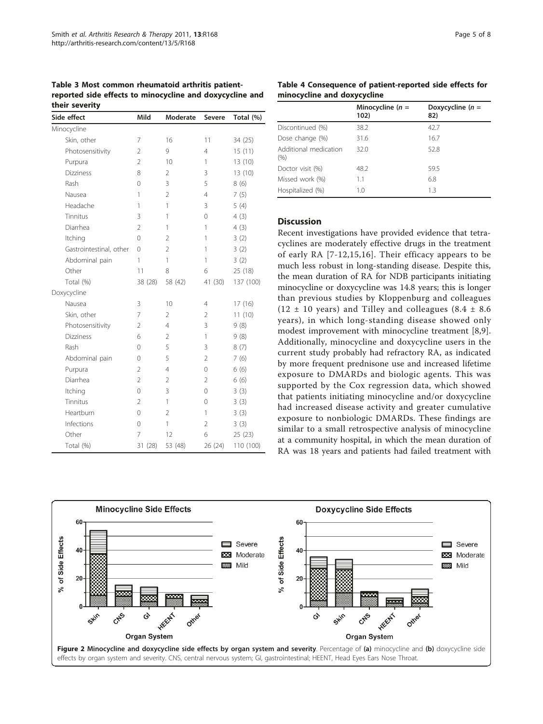<span id="page-4-0"></span>Table 3 Most common rheumatoid arthritis patientreported side effects to minocycline and doxycycline and their severity

| Side effect             | Mild           | Moderate       | <b>Severe</b>  | Total (%) |
|-------------------------|----------------|----------------|----------------|-----------|
| Minocycline             |                |                |                |           |
| Skin, other             | 7              | 16             | 11             | 34 (25)   |
| Photosensitivity        | $\overline{2}$ | 9              | $\overline{4}$ | 15(11)    |
| Purpura                 | $\overline{2}$ | 10             | 1              | 13 (10)   |
| <b>Dizziness</b>        | 8              | 2              | 3              | 13 (10)   |
| Rash                    | 0              | 3              | 5              | 8(6)      |
| Nausea                  | 1              | $\overline{2}$ | 4              | 7(5)      |
| Headache                | 1              | 1              | 3              | 5(4)      |
| Tinnitus                | 3              | 1              | 0              | 4(3)      |
| Diarrhea                | $\overline{2}$ | 1              | 1              | 4(3)      |
| Itching                 | $\Omega$       | $\overline{2}$ | 1              | 3(2)      |
| Gastrointestinal, other | $\Omega$       | $\overline{2}$ | 1              | 3(2)      |
| Abdominal pain          | 1              | 1              | 1              | 3(2)      |
| Other                   | 11             | 8              | 6              | 25 (18)   |
| Total (%)               | 38 (28)        | 58 (42)        | 41 (30)        | 137 (100) |
| Doxycycline             |                |                |                |           |
| Nausea                  | 3              | 10             | 4              | 17(16)    |
| Skin, other             | 7              | $\overline{2}$ | $\overline{2}$ | 11(10)    |
| Photosensitivity        | $\overline{2}$ | 4              | 3              | 9(8)      |
| <b>Dizziness</b>        | 6              | 2              | 1              | 9(8)      |
| Rash                    | 0              | 5              | 3              | 8(7)      |
| Abdominal pain          | 0              | 5              | $\overline{2}$ | 7(6)      |
| Purpura                 | $\overline{2}$ | 4              | $\Omega$       | 6(6)      |
| Diarrhea                | $\overline{2}$ | $\overline{2}$ | $\overline{2}$ | 6(6)      |
| Itching                 | $\mathbf 0$    | 3              | 0              | 3(3)      |
| Tinnitus                | $\overline{2}$ | 1              | 0              | 3(3)      |
| Heartburn               | $\Omega$       | $\overline{2}$ | 1              | 3(3)      |
| Infections              | 0              | 1              | 2              | 3(3)      |
| Other                   | 7              | 12             | 6              | 25(23)    |
| Total (%)               | 31 (28)        | 53 (48)        | 26 (24)        | 110 (100) |

Table 4 Consequence of patient-reported side effects for minocycline and doxycycline

|                               | Minocycline ( $n =$<br>102) | Doxycycline $(n =$<br>82) |
|-------------------------------|-----------------------------|---------------------------|
| Discontinued (%)              | 38.2                        | 42.7                      |
| Dose change (%)               | 31.6                        | 16.7                      |
| Additional medication<br>(% ) | 32.0                        | 52.8                      |
| Doctor visit (%)              | 48.2                        | 59.5                      |
| Missed work (%)               | 1.1                         | 6.8                       |
| Hospitalized (%)              | 1.0                         | 1.3                       |

## **Discussion**

Recent investigations have provided evidence that tetracyclines are moderately effective drugs in the treatment of early RA [[7-12](#page-6-0),[15,16\]](#page-6-0). Their efficacy appears to be much less robust in long-standing disease. Despite this, the mean duration of RA for NDB participants initiating minocycline or doxycycline was 14.8 years; this is longer than previous studies by Kloppenburg and colleagues (12  $\pm$  10 years) and Tilley and colleagues (8.4  $\pm$  8.6 years), in which long-standing disease showed only modest improvement with minocycline treatment [[8,9](#page-6-0)]. Additionally, minocycline and doxycycline users in the current study probably had refractory RA, as indicated by more frequent prednisone use and increased lifetime exposure to DMARDs and biologic agents. This was supported by the Cox regression data, which showed that patients initiating minocycline and/or doxycycline had increased disease activity and greater cumulative exposure to nonbiologic DMARDs. These findings are similar to a small retrospective analysis of minocycline at a community hospital, in which the mean duration of RA was 18 years and patients had failed treatment with

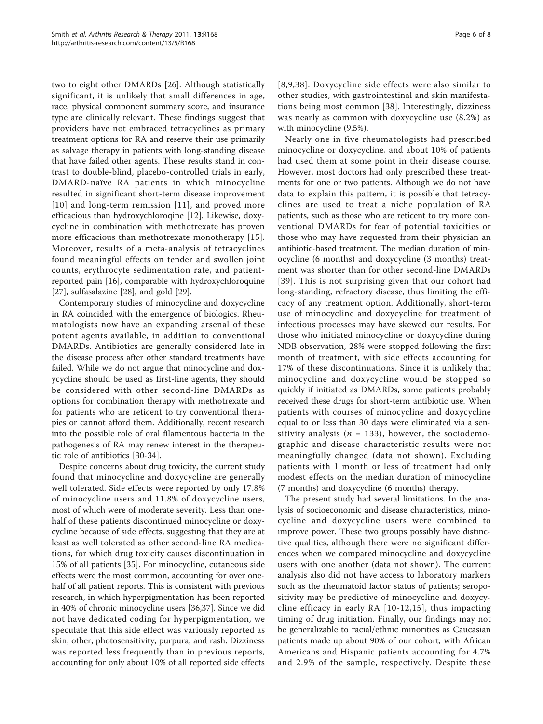two to eight other DMARDs [[26\]](#page-7-0). Although statistically significant, it is unlikely that small differences in age, race, physical component summary score, and insurance type are clinically relevant. These findings suggest that providers have not embraced tetracyclines as primary treatment options for RA and reserve their use primarily as salvage therapy in patients with long-standing disease that have failed other agents. These results stand in contrast to double-blind, placebo-controlled trials in early, DMARD-naïve RA patients in which minocycline resulted in significant short-term disease improvement [[10\]](#page-6-0) and long-term remission [[11](#page-6-0)], and proved more efficacious than hydroxychloroqine [\[12](#page-6-0)]. Likewise, doxycycline in combination with methotrexate has proven more efficacious than methotrexate monotherapy [[15\]](#page-6-0). Moreover, results of a meta-analysis of tetracyclines found meaningful effects on tender and swollen joint counts, erythrocyte sedimentation rate, and patientreported pain [[16\]](#page-6-0), comparable with hydroxychloroquine [[27\]](#page-7-0), sulfasalazine [[28\]](#page-7-0), and gold [\[29](#page-7-0)].

Contemporary studies of minocycline and doxycycline in RA coincided with the emergence of biologics. Rheumatologists now have an expanding arsenal of these potent agents available, in addition to conventional DMARDs. Antibiotics are generally considered late in the disease process after other standard treatments have failed. While we do not argue that minocycline and doxycycline should be used as first-line agents, they should be considered with other second-line DMARDs as options for combination therapy with methotrexate and for patients who are reticent to try conventional therapies or cannot afford them. Additionally, recent research into the possible role of oral filamentous bacteria in the pathogenesis of RA may renew interest in the therapeutic role of antibiotics [[30](#page-7-0)-[34\]](#page-7-0).

Despite concerns about drug toxicity, the current study found that minocycline and doxycycline are generally well tolerated. Side effects were reported by only 17.8% of minocycline users and 11.8% of doxycycline users, most of which were of moderate severity. Less than onehalf of these patients discontinued minocycline or doxycycline because of side effects, suggesting that they are at least as well tolerated as other second-line RA medications, for which drug toxicity causes discontinuation in 15% of all patients [[35\]](#page-7-0). For minocycline, cutaneous side effects were the most common, accounting for over onehalf of all patient reports. This is consistent with previous research, in which hyperpigmentation has been reported in 40% of chronic minocycline users [[36,37](#page-7-0)]. Since we did not have dedicated coding for hyperpigmentation, we speculate that this side effect was variously reported as skin, other, photosensitivity, purpura, and rash. Dizziness was reported less frequently than in previous reports, accounting for only about 10% of all reported side effects [[8,9](#page-6-0),[38](#page-7-0)]. Doxycycline side effects were also similar to other studies, with gastrointestinal and skin manifestations being most common [[38](#page-7-0)]. Interestingly, dizziness was nearly as common with doxycycline use (8.2%) as with minocycline (9.5%).

Nearly one in five rheumatologists had prescribed minocycline or doxycycline, and about 10% of patients had used them at some point in their disease course. However, most doctors had only prescribed these treatments for one or two patients. Although we do not have data to explain this pattern, it is possible that tetracyclines are used to treat a niche population of RA patients, such as those who are reticent to try more conventional DMARDs for fear of potential toxicities or those who may have requested from their physician an antibiotic-based treatment. The median duration of minocycline (6 months) and doxycycline (3 months) treatment was shorter than for other second-line DMARDs [[39](#page-7-0)]. This is not surprising given that our cohort had long-standing, refractory disease, thus limiting the efficacy of any treatment option. Additionally, short-term use of minocycline and doxycycline for treatment of infectious processes may have skewed our results. For those who initiated minocycline or doxycycline during NDB observation, 28% were stopped following the first month of treatment, with side effects accounting for 17% of these discontinuations. Since it is unlikely that minocycline and doxycycline would be stopped so quickly if initiated as DMARDs, some patients probably received these drugs for short-term antibiotic use. When patients with courses of minocycline and doxycycline equal to or less than 30 days were eliminated via a sensitivity analysis ( $n = 133$ ), however, the sociodemographic and disease characteristic results were not meaningfully changed (data not shown). Excluding patients with 1 month or less of treatment had only modest effects on the median duration of minocycline (7 months) and doxycycline (6 months) therapy.

The present study had several limitations. In the analysis of socioeconomic and disease characteristics, minocycline and doxycycline users were combined to improve power. These two groups possibly have distinctive qualities, although there were no significant differences when we compared minocycline and doxycycline users with one another (data not shown). The current analysis also did not have access to laboratory markers such as the rheumatoid factor status of patients; seropositivity may be predictive of minocycline and doxycycline efficacy in early RA [[10](#page-6-0)-[12,15\]](#page-6-0), thus impacting timing of drug initiation. Finally, our findings may not be generalizable to racial/ethnic minorities as Caucasian patients made up about 90% of our cohort, with African Americans and Hispanic patients accounting for 4.7% and 2.9% of the sample, respectively. Despite these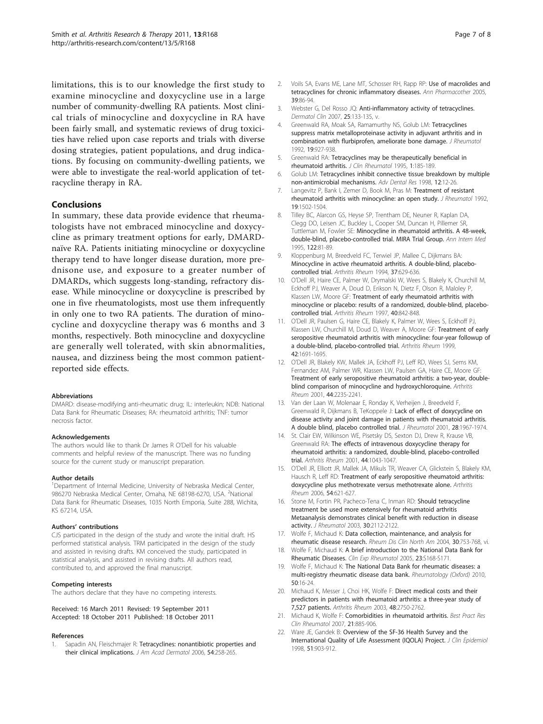<span id="page-6-0"></span>limitations, this is to our knowledge the first study to examine minocycline and doxycycline use in a large number of community-dwelling RA patients. Most clinical trials of minocycline and doxycycline in RA have been fairly small, and systematic reviews of drug toxicities have relied upon case reports and trials with diverse dosing strategies, patient populations, and drug indications. By focusing on community-dwelling patients, we were able to investigate the real-world application of tetracycline therapy in RA.

## Conclusions

In summary, these data provide evidence that rheumatologists have not embraced minocycline and doxycycline as primary treatment options for early, DMARDnaïve RA. Patients initiating minocycline or doxycycline therapy tend to have longer disease duration, more prednisone use, and exposure to a greater number of DMARDs, which suggests long-standing, refractory disease. While minocycline or doxycycline is prescribed by one in five rheumatologists, most use them infrequently in only one to two RA patients. The duration of minocycline and doxycycline therapy was 6 months and 3 months, respectively. Both minocycline and doxycycline are generally well tolerated, with skin abnormalities, nausea, and dizziness being the most common patientreported side effects.

#### Abbreviations

DMARD: disease-modifying anti-rheumatic drug; IL: interleukin; NDB: National Data Bank for Rheumatic Diseases; RA: rheumatoid arthritis; TNF: tumor necrosis factor.

#### Acknowledgements

The authors would like to thank Dr James R O'Dell for his valuable comments and helpful review of the manuscript. There was no funding source for the current study or manuscript preparation.

#### Author details

<sup>1</sup>Department of Internal Medicine, University of Nebraska Medical Center, 986270 Nebraska Medical Center, Omaha, NE 68198-6270, USA. <sup>2</sup>National Data Bank for Rheumatic Diseases, 1035 North Emporia, Suite 288, Wichita, KS 67214, USA.

#### Authors' contributions

CJS participated in the design of the study and wrote the initial draft. HS performed statistical analysis. TRM participated in the design of the study and assisted in revising drafts. KM conceived the study, participated in statistical analysis, and assisted in revising drafts. All authors read, contributed to, and approved the final manuscript.

#### Competing interests

The authors declare that they have no competing interests.

Received: 16 March 2011 Revised: 19 September 2011 Accepted: 18 October 2011 Published: 18 October 2011

#### References

Sapadin AN, Fleischmajer R: [Tetracyclines: nonantibiotic properties and](http://www.ncbi.nlm.nih.gov/pubmed/16443056?dopt=Abstract) [their clinical implications.](http://www.ncbi.nlm.nih.gov/pubmed/16443056?dopt=Abstract) J Am Acad Dermatol 2006, 54:258-265.

- 2. Voils SA, Evans ME, Lane MT, Schosser RH, Rapp RP: [Use of macrolides and](http://www.ncbi.nlm.nih.gov/pubmed/15562139?dopt=Abstract) [tetracyclines for chronic inflammatory diseases.](http://www.ncbi.nlm.nih.gov/pubmed/15562139?dopt=Abstract) Ann Pharmacother 2005, 39:86-94.
- 3. Webster G, Del Rosso JQ: [Anti-inflammatory activity of tetracyclines.](http://www.ncbi.nlm.nih.gov/pubmed/17430750?dopt=Abstract) Dermatol Clin 2007, 25:133-135, v.
- 4. Greenwald RA, Moak SA, Ramamurthy NS, Golub LM: [Tetracyclines](http://www.ncbi.nlm.nih.gov/pubmed/1404131?dopt=Abstract) [suppress matrix metalloproteinase activity in adjuvant arthritis and in](http://www.ncbi.nlm.nih.gov/pubmed/1404131?dopt=Abstract) [combination with flurbiprofen, ameliorate bone damage.](http://www.ncbi.nlm.nih.gov/pubmed/1404131?dopt=Abstract) J Rheumatol 1992, 19:927-938.
- 5. Greenwald RA: [Tetracyclines may be therapeutically beneficial in](http://www.ncbi.nlm.nih.gov/pubmed/19077975?dopt=Abstract) [rheumatoid arthritis.](http://www.ncbi.nlm.nih.gov/pubmed/19077975?dopt=Abstract) J Clin Rheumatol 1995, 1:185-189.
- 6. Golub LM: Tetracyclines inhibit connective tissue breakdown by multiple non-antimicrobial mechanisms. Adv Dental Res 1998, 12:12-26.
- 7. Langevitz P, Bank I, Zemer D, Book M, Pras M: [Treatment of resistant](http://www.ncbi.nlm.nih.gov/pubmed/1334514?dopt=Abstract) [rheumatoid arthritis with minocycline: an open study.](http://www.ncbi.nlm.nih.gov/pubmed/1334514?dopt=Abstract) J Rheumatol 1992, 19:1502-1504.
- 8. Tilley BC, Alarcon GS, Heyse SP, Trentham DE, Neuner R, Kaplan DA, Clegg DO, Leisen JC, Buckley L, Cooper SM, Duncan H, Pillemer SR, Tuttleman M, Fowler SE: [Minocycline in rheumatoid arthritis. A 48-week,](http://www.ncbi.nlm.nih.gov/pubmed/7993000?dopt=Abstract) [double-blind, placebo-controlled trial. MIRA Trial Group.](http://www.ncbi.nlm.nih.gov/pubmed/7993000?dopt=Abstract) Ann Intern Med 1995, 122:81-89.
- 9. Kloppenburg M, Breedveld FC, Terwiel JP, Mallee C, Dijkmans BA: [Minocycline in active rheumatoid arthritis. A double-blind, placebo](http://www.ncbi.nlm.nih.gov/pubmed/8185689?dopt=Abstract)[controlled trial.](http://www.ncbi.nlm.nih.gov/pubmed/8185689?dopt=Abstract) Arthritis Rheum 1994, 37:629-636.
- 10. O'Dell JR, Haire CE, Palmer W, Drymalski W, Wees S, Blakely K, Churchill M, Eckhoff PJ, Weaver A, Doud D, Erikson N, Dietz F, Olson R, Maloley P, Klassen LW, Moore GF: [Treatment of early rheumatoid arthritis with](http://www.ncbi.nlm.nih.gov/pubmed/9153544?dopt=Abstract) [minocycline or placebo: results of a randomized, double-blind, placebo](http://www.ncbi.nlm.nih.gov/pubmed/9153544?dopt=Abstract)[controlled trial.](http://www.ncbi.nlm.nih.gov/pubmed/9153544?dopt=Abstract) Arthritis Rheum 1997, 40:842-848.
- 11. O'Dell JR, Paulsen G, Haire CE, Blakely K, Palmer W, Wees S, Eckhoff PJ, Klassen LW, Churchill M, Doud D, Weaver A, Moore GF: [Treatment of early](http://www.ncbi.nlm.nih.gov/pubmed/10446869?dopt=Abstract) [seropositive rheumatoid arthritis with minocycline: four-year followup of](http://www.ncbi.nlm.nih.gov/pubmed/10446869?dopt=Abstract) [a double-blind, placebo-controlled trial.](http://www.ncbi.nlm.nih.gov/pubmed/10446869?dopt=Abstract) Arthritis Rheum 1999, 42:1691-1695.
- 12. O'Dell JR, Blakely KW, Mallek JA, Eckhoff PJ, Leff RD, Wees SJ, Sems KM, Fernandez AM, Palmer WR, Klassen LW, Paulsen GA, Haire CE, Moore GF: [Treatment of early seropositive rheumatoid arthritis: a two-year, double](http://www.ncbi.nlm.nih.gov/pubmed/11665963?dopt=Abstract)[blind comparison of minocycline and hydroxychloroquine.](http://www.ncbi.nlm.nih.gov/pubmed/11665963?dopt=Abstract) Arthritis Rheum 2001, 44:2235-2241.
- 13. Van der Laan W, Molenaar E, Ronday K, Verheijen J, Breedveld F, Greenwald R, Dijkmans B, TeKoppele J: [Lack of effect of doxycycline on](http://www.ncbi.nlm.nih.gov/pubmed/11550961?dopt=Abstract) [disease activity and joint damage in patients with rheumatoid arthritis.](http://www.ncbi.nlm.nih.gov/pubmed/11550961?dopt=Abstract) [A double blind, placebo controlled trial.](http://www.ncbi.nlm.nih.gov/pubmed/11550961?dopt=Abstract) J Rheumatol 2001, 28:1967-1974.
- 14. St. Clair EW, Wilkinson WE, Pisetsky DS, Sexton DJ, Drew R, Krause VB, Greenwald RA: [The effects of intravenous doxycycline therapy for](http://www.ncbi.nlm.nih.gov/pubmed/11357896?dopt=Abstract) [rheumatoid arthritis: a randomized, double-blind, placebo-controlled](http://www.ncbi.nlm.nih.gov/pubmed/11357896?dopt=Abstract) [trial.](http://www.ncbi.nlm.nih.gov/pubmed/11357896?dopt=Abstract) Arthritis Rheum 2001, 44:1043-1047.
- 15. O'Dell JR, Elliott JR, Mallek JA, Mikuls TR, Weaver CA, Glickstein S, Blakely KM, Hausch R, Leff RD: [Treatment of early seropositive rheumatoid arthritis:](http://www.ncbi.nlm.nih.gov/pubmed/16447240?dopt=Abstract) [doxycycline plus methotrexate versus methotrexate alone.](http://www.ncbi.nlm.nih.gov/pubmed/16447240?dopt=Abstract) Arthritis Rheum 2006, 54:621-627.
- 16. Stone M, Fortin PR, Pacheco-Tena C, Inman RD: [Should tetracycline](http://www.ncbi.nlm.nih.gov/pubmed/14528503?dopt=Abstract) [treatment be used more extensively for rheumatoid arthritis](http://www.ncbi.nlm.nih.gov/pubmed/14528503?dopt=Abstract) [Metaanalysis demonstrates clinical benefit with reduction in disease](http://www.ncbi.nlm.nih.gov/pubmed/14528503?dopt=Abstract) [activity.](http://www.ncbi.nlm.nih.gov/pubmed/14528503?dopt=Abstract) J Rheumatol 2003, 30:2112-2122.
- 17. Wolfe F, Michaud K: [Data collection, maintenance, and analysis for](http://www.ncbi.nlm.nih.gov/pubmed/15488691?dopt=Abstract) [rheumatic disease research.](http://www.ncbi.nlm.nih.gov/pubmed/15488691?dopt=Abstract) Rheum Dis Clin North Am 2004, 30:753-768, vi.
- 18. Wolfe F, Michaud K: [A brief introduction to the National Data Bank for](http://www.ncbi.nlm.nih.gov/pubmed/16273802?dopt=Abstract) [Rheumatic Diseases.](http://www.ncbi.nlm.nih.gov/pubmed/16273802?dopt=Abstract) Clin Exp Rheumatol 2005, 23:S168-S171.
- 19. Wolfe F, Michaud K: The National Data Bank for rheumatic diseases: a multi-registry rheumatic disease data bank. Rheumatology (Oxford) 2010, 50:16-24.
- 20. Michaud K, Messer J, Choi HK, Wolfe F: [Direct medical costs and their](http://www.ncbi.nlm.nih.gov/pubmed/14558079?dopt=Abstract) [predictors in patients with rheumatoid arthritis: a three-year study of](http://www.ncbi.nlm.nih.gov/pubmed/14558079?dopt=Abstract) [7,527 patients.](http://www.ncbi.nlm.nih.gov/pubmed/14558079?dopt=Abstract) Arthritis Rheum 2003, 48:2750-2762.
- 21. Michaud K, Wolfe F: [Comorbidities in rheumatoid arthritis.](http://www.ncbi.nlm.nih.gov/pubmed/17870034?dopt=Abstract) Best Pract Res Clin Rheumatol 2007, 21:885-906.
- 22. Ware JE, Gandek B: [Overview of the SF-36 Health Survey and the](http://www.ncbi.nlm.nih.gov/pubmed/9817107?dopt=Abstract) [International Quality of Life Assessment \(IQOLA\) Project.](http://www.ncbi.nlm.nih.gov/pubmed/9817107?dopt=Abstract) J Clin Epidemiol 1998, 51:903-912.